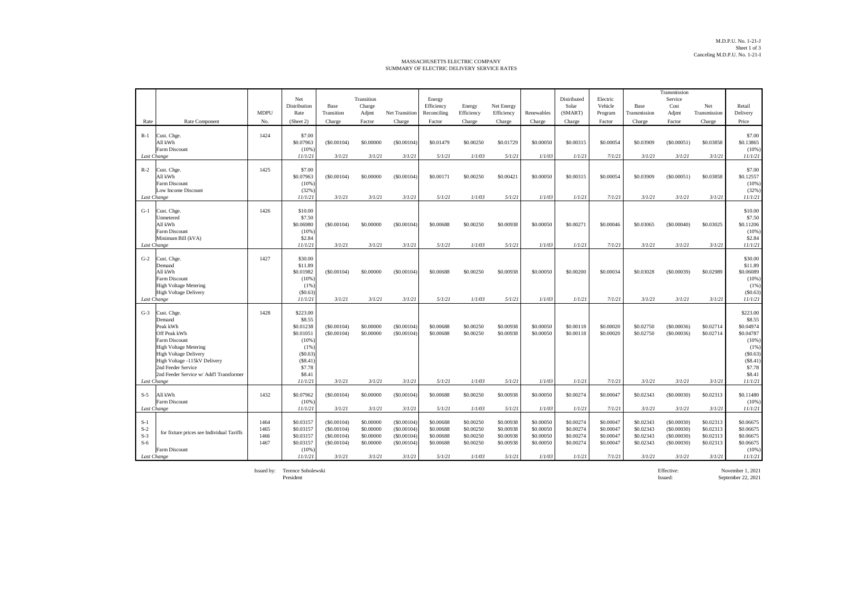## MASSACHUSETTS ELECTRIC COMPANY SUMMARY OF ELECTRIC DELIVERY SERVICE RATES

|                                                 |                                                                                                                                                                                                                                     |                              |                                                                                                       |                                                                |                                                            |                                                                |                                                            |                                                            |                                                            |                                                            |                                                            |                                                            |                                                            | Transmission                                                   |                                                            |                                                                                                         |
|-------------------------------------------------|-------------------------------------------------------------------------------------------------------------------------------------------------------------------------------------------------------------------------------------|------------------------------|-------------------------------------------------------------------------------------------------------|----------------------------------------------------------------|------------------------------------------------------------|----------------------------------------------------------------|------------------------------------------------------------|------------------------------------------------------------|------------------------------------------------------------|------------------------------------------------------------|------------------------------------------------------------|------------------------------------------------------------|------------------------------------------------------------|----------------------------------------------------------------|------------------------------------------------------------|---------------------------------------------------------------------------------------------------------|
|                                                 |                                                                                                                                                                                                                                     |                              | Net<br>Distribution                                                                                   | Base                                                           | Transition<br>Charge                                       |                                                                | Energy<br>Efficiency                                       | Energy                                                     | Net Energy                                                 |                                                            | Distributed<br>Solar                                       | Electric<br>Vehicle                                        | Base                                                       | Service<br>Cost                                                | Net                                                        | Retail                                                                                                  |
|                                                 |                                                                                                                                                                                                                                     | <b>MDPU</b>                  | Rate                                                                                                  | Transition                                                     | Adjmt                                                      | <b>Net Transition</b>                                          | Reconciling                                                | Efficiency                                                 | Efficiency                                                 | Renewables                                                 | (SMART)                                                    | Program                                                    | Transmission                                               | Adjmt                                                          | Transmission                                               | Delivery                                                                                                |
| Rate                                            | Rate Component                                                                                                                                                                                                                      | No.                          | (Sheet 2)                                                                                             | Charge                                                         | Factor                                                     | Charge                                                         | Factor                                                     | Charge                                                     | Charge                                                     | Charge                                                     | Charge                                                     | Factor                                                     | Charge                                                     | Factor                                                         | Charge                                                     | Price                                                                                                   |
| $R-1$                                           | Cust. Chge.<br>All kWh<br>Farm Discount                                                                                                                                                                                             | 1424                         | \$7.00<br>\$0.07963<br>(10%                                                                           | (S0.00104)                                                     | \$0.00000                                                  | (S0.00104)                                                     | \$0.01479                                                  | \$0.00250                                                  | \$0.01729                                                  | \$0.00050                                                  | \$0.00315                                                  | \$0.00054                                                  | \$0.03909                                                  | (S0.00051)                                                     | \$0.03858                                                  | \$7.00<br>\$0.13865<br>(10%                                                                             |
| Last Change                                     |                                                                                                                                                                                                                                     |                              | 11/1/21                                                                                               | 3/1/21                                                         | 3/1/21                                                     | 3/1/21                                                         | 5/1/21                                                     | 1/1/03                                                     | 5/1/21                                                     | 1/1/03                                                     | 1/1/21                                                     | 7/1/21                                                     | 3/1/21                                                     | 3/1/21                                                         | 3/1/21                                                     | 11/1/21                                                                                                 |
| $R-2$<br>Last Change                            | Cust. Chge.<br>All kWh<br>Farm Discount<br>Low Income Discount                                                                                                                                                                      | 1425                         | \$7.00<br>\$0.07963<br>(10%<br>(32%)<br>11/1/21                                                       | (S0.00104)<br>3/1/21                                           | \$0,00000<br>3/1/21                                        | (S0.00104)<br>3/1/21                                           | \$0.00171<br>5/1/21                                        | \$0.00250<br>1/1/03                                        | \$0.00421<br>5/1/21                                        | \$0,00050<br>1/1/03                                        | \$0,00315<br>1/1/21                                        | \$0,00054<br>7/1/21                                        | \$0.03909<br>3/1/21                                        | (S0.00051)<br>3/1/21                                           | \$0.03858<br>3/1/21                                        | \$7.00<br>\$0.12557<br>(10%<br>(32%<br>11/1/21                                                          |
| $G-1$<br>Last Change                            | Cust. Chge.<br>Unmetered<br>All kWh<br>Farm Discount<br>Minimum Bill (kVA)                                                                                                                                                          | 1426                         | \$10.00<br>\$7.50<br>\$0.06980<br>(10%<br>\$2.84<br>11/1/21                                           | (S0.00104)<br>3/1/21                                           | \$0.00000<br>3/1/21                                        | (S0.00104)<br>3/1/21                                           | \$0.00688<br>5/1/21                                        | \$0.00250<br>1/1/03                                        | \$0.00938<br>5/1/21                                        | \$0.00050<br>1/1/03                                        | \$0,00271<br>1/1/21                                        | \$0,00046<br>7/1/21                                        | \$0.03065<br>3/1/21                                        | (S0.00040)<br>3/1/21                                           | \$0.03025<br>3/1/21                                        | \$10.00<br>\$7.50<br>\$0.11206<br>(10%<br>\$2.84<br>11/1/21                                             |
| $G-2$                                           | Cust. Chge.<br>Demand<br>All kWh<br>Farm Discount<br><b>High Voltage Metering</b><br><b>High Voltage Delivery</b>                                                                                                                   | 1427                         | \$30.00<br>\$11.89<br>\$0.01982<br>(10%<br>(1% )<br>(S0.63)                                           | (S0.00104)                                                     | \$0.00000                                                  | (S0.00104)                                                     | \$0.00688                                                  | \$0.00250                                                  | \$0.00938                                                  | \$0,00050                                                  | \$0,00200                                                  | \$0,00034                                                  | \$0.03028                                                  | (S0.00039)                                                     | \$0.02989                                                  | \$30.00<br>\$11.89<br>\$0.06089<br>(10%<br>(1%<br>(\$0.63)                                              |
| Last Change                                     |                                                                                                                                                                                                                                     |                              | 11/1/21                                                                                               | 3/1/21                                                         | 3/1/21                                                     | 3/1/21                                                         | 5/1/21                                                     | 1/1/03                                                     | 5/1/21                                                     | 1/1/03                                                     | 1/1/21                                                     | 7/1/21                                                     | 3/1/21                                                     | 3/1/21                                                         | 3/1/21                                                     | 11/1/21                                                                                                 |
| $G-3$                                           | Cust. Chge.<br>Demand<br>Peak kWh<br>Off Peak kWh<br>Farm Discount<br><b>High Voltage Metering</b><br><b>High Voltage Delivery</b><br>High Voltage -115kV Delivery<br>2nd Feeder Service<br>2nd Feeder Service w/ Add'l Transformer | 1428                         | \$223.00<br>\$8.55<br>\$0.01238<br>\$0.01051<br>(10%<br>(1%<br>(S0.63)<br>(S8.41)<br>\$7.78<br>\$8.41 | (S0.00104)<br>(S0.00104)                                       | \$0,00000<br>\$0.00000                                     | (S0,00104)<br>(S0.00104)                                       | \$0,00688<br>\$0.00688                                     | \$0.00250<br>\$0.00250                                     | \$0,00938<br>\$0.00938                                     | \$0,00050<br>\$0.00050                                     | \$0,00118<br>\$0,00118                                     | \$0,00020<br>\$0.00020                                     | \$0.02750<br>\$0.02750                                     | (S0.00036)<br>(S0.00036)                                       | \$0.02714<br>\$0.02714                                     | \$223.00<br>\$8.55<br>\$0.04974<br>\$0.04787<br>(10%<br>(1%<br>(\$0.63)<br>(\$8.41)<br>\$7.78<br>\$8.41 |
| Last Change                                     |                                                                                                                                                                                                                                     |                              | 11/1/21                                                                                               | 3/1/21                                                         | 3/1/21                                                     | 3/1/21                                                         | 5/1/21                                                     | 1/1/03                                                     | 5/1/21                                                     | 1/1/03                                                     | 1/1/21                                                     | 7/1/21                                                     | 3/1/21                                                     | 3/1/21                                                         | 3/1/21                                                     | 11/1/21                                                                                                 |
| $S-5$<br>Last Change                            | All kWh<br>Farm Discount                                                                                                                                                                                                            | 1432                         | \$0.07962<br>(10%<br>11/1/21                                                                          | (\$0.00104)<br>3/1/21                                          | \$0.00000<br>3/1/21                                        | (S0.00104)<br>3/1/21                                           | \$0.00688<br>5/1/21                                        | \$0.00250<br>1/1/03                                        | \$0.00938<br>5/1/21                                        | \$0.00050<br>1/1/03                                        | \$0.00274<br>1/1/21                                        | \$0.00047<br>7/1/21                                        | \$0.02343<br>3/1/21                                        | (S0.00030)<br>3/1/21                                           | \$0.02313<br>3/1/21                                        | \$0.11480<br>(10%<br>11/1/21                                                                            |
| $S-1$<br>$S-2$<br>$S-3$<br>$S-6$<br>Last Change | for fixture prices see Individual Tariffs<br>Farm Discount                                                                                                                                                                          | 1464<br>1465<br>1466<br>1467 | \$0.03157<br>\$0.03157<br>\$0.03157<br>\$0.03157<br>(10%<br>11/1/21                                   | (S0.00104)<br>(S0.00104)<br>(S0.00104)<br>(S0.00104)<br>3/1/21 | \$0,00000<br>\$0.00000<br>\$0,00000<br>\$0.00000<br>3/1/21 | (S0.00104)<br>(S0.00104)<br>(S0.00104)<br>(S0.00104)<br>3/1/21 | \$0,00688<br>\$0.00688<br>\$0,00688<br>\$0,00688<br>5/1/21 | \$0.00250<br>\$0.00250<br>\$0.00250<br>\$0.00250<br>1/1/03 | \$0,00938<br>\$0.00938<br>\$0,00938<br>\$0.00938<br>5/1/21 | \$0,00050<br>\$0,00050<br>\$0,00050<br>\$0,00050<br>1/1/03 | \$0,00274<br>\$0,00274<br>\$0,00274<br>\$0,00274<br>1/1/21 | \$0,00047<br>\$0,00047<br>\$0,00047<br>\$0,00047<br>7/1/21 | \$0.02343<br>\$0.02343<br>\$0.02343<br>\$0.02343<br>3/1/21 | (S0,00030)<br>(S0.00030)<br>(S0,00030)<br>(S0.00030)<br>3/1/21 | \$0.02313<br>\$0.02313<br>\$0.02313<br>\$0.02313<br>3/1/21 | \$0.06675<br>\$0.06675<br>\$0.06675<br>\$0.06675<br>(10%<br>11/1/21                                     |

President Issued: September 22, 2021

Issued by: Terence Sobolewski Effective: November 1, 2021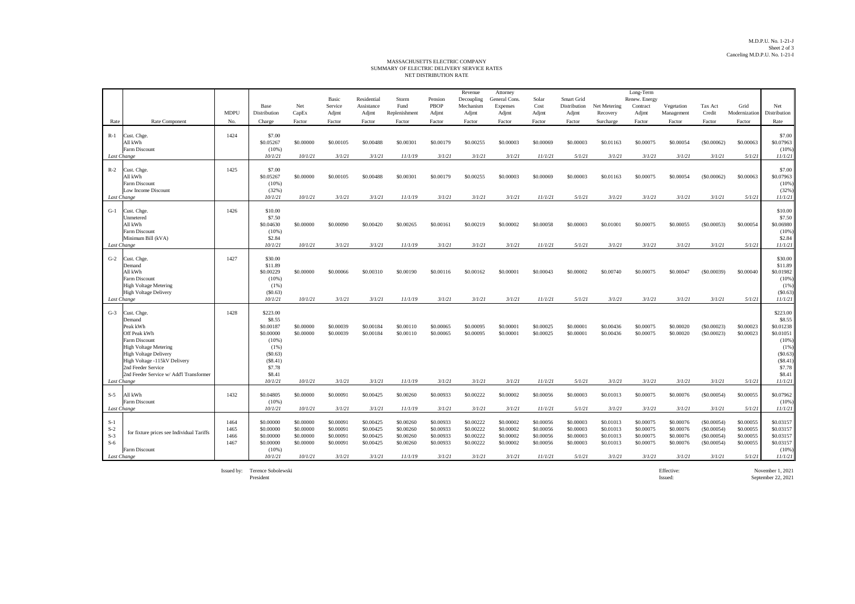## NET DISTRIBUTION RATE MASSACHUSETTS ELECTRIC COMPANY SUMMARY OF ELECTRIC DELIVERY SERVICE RATES

|                                                 |                                                                                                                                                                                                                                                    |                              |                                                                                                                      |                                                             |                                                            |                                                            |                                                             |                                                            | Revenue                                                    | Attorney                                                   |                                                             |                                                            |                                                            | Long-Term                                                  |                                                            |                                                                  |                                                            |                                                                                                                  |
|-------------------------------------------------|----------------------------------------------------------------------------------------------------------------------------------------------------------------------------------------------------------------------------------------------------|------------------------------|----------------------------------------------------------------------------------------------------------------------|-------------------------------------------------------------|------------------------------------------------------------|------------------------------------------------------------|-------------------------------------------------------------|------------------------------------------------------------|------------------------------------------------------------|------------------------------------------------------------|-------------------------------------------------------------|------------------------------------------------------------|------------------------------------------------------------|------------------------------------------------------------|------------------------------------------------------------|------------------------------------------------------------------|------------------------------------------------------------|------------------------------------------------------------------------------------------------------------------|
|                                                 |                                                                                                                                                                                                                                                    |                              | Base                                                                                                                 | Net                                                         | Basic<br>Service                                           | Residential<br>Assistance                                  | Storm<br>Fund                                               | Pension<br>PBOP                                            | Decoupling<br>Mechanism                                    | General Cons.<br>Expenses                                  | Solar<br>Cost                                               | Smart Grid<br>Distribution                                 | Net Metering                                               | Renew. Energy<br>Contract                                  | Vegetation                                                 | Tax Act                                                          | Grid                                                       | Net                                                                                                              |
|                                                 |                                                                                                                                                                                                                                                    | <b>MDPU</b>                  | Distribution                                                                                                         | CapEx                                                       | Adjmt                                                      | Adjmt                                                      | Replenishment                                               | Adjmt                                                      | Adjmt                                                      | Adjmt                                                      | Adjmt                                                       | Adjmt                                                      | Recovery                                                   | Adjmt                                                      | Management                                                 | Credit                                                           | Modernization                                              | Distribution                                                                                                     |
| Rate                                            | Rate Component                                                                                                                                                                                                                                     | No.                          | Charge                                                                                                               | Factor                                                      | Factor                                                     | Factor                                                     | Factor                                                      | Factor                                                     | Factor                                                     | Factor                                                     | Factor                                                      | Factor                                                     | Surcharge                                                  | Factor                                                     | Factor                                                     | Factor                                                           | Factor                                                     | Rate                                                                                                             |
| $R-1$                                           | Cust. Chge.<br>All kWh<br>Farm Discount                                                                                                                                                                                                            | 1424                         | \$7.00<br>\$0.05267<br>$(10\%)$                                                                                      | \$0,00000                                                   | \$0,00105                                                  | \$0,00488                                                  | \$0,00301                                                   | \$0,00179                                                  | \$0,00255                                                  | \$0,00003                                                  | \$0,00069                                                   | \$0.00003                                                  | \$0.01163                                                  | \$0,00075                                                  | \$0,00054                                                  | (S0.00062)                                                       | \$0,00063                                                  | \$7.00<br>\$0.07963<br>(10%                                                                                      |
| Last Change                                     |                                                                                                                                                                                                                                                    |                              | 10/1/21                                                                                                              | 10/1/21                                                     | 3/1/21                                                     | 3/1/21                                                     | 11/1/19                                                     | 3/1/21                                                     | 3/1/21                                                     | 3/1/21                                                     | 11/1/21                                                     | 5/1/21                                                     | 3/1/21                                                     | 3/1/21                                                     | 3/1/21                                                     | 3/1/21                                                           | 5/1/21                                                     | 11/1/21                                                                                                          |
| $R-2$<br>Last Change                            | Cust. Chge.<br>All kWh<br><b>Farm Discount</b><br>Low Income Discount                                                                                                                                                                              | 1425                         | \$7.00<br>\$0.05267<br>(10%)<br>(32%)<br>10/1/21                                                                     | \$0,00000<br>10/1/21                                        | \$0,00105<br>3/1/21                                        | \$0,00488<br>3/1/21                                        | \$0,00301<br>11/1/19                                        | \$0,00179<br>3/1/21                                        | \$0.00255<br>3/1/21                                        | \$0,00003<br>3/1/21                                        | \$0,00069<br>11/1/21                                        | \$0,00003<br>5/1/21                                        | \$0.01163<br>3/1/21                                        | \$0,00075<br>3/1/21                                        | \$0.00054<br>3/1/21                                        | (\$0.00062)<br>3/1/21                                            | \$0,00063<br>5/1/21                                        | \$7.00<br>\$0.07963<br>(10%<br>(32% )<br>11/1/21                                                                 |
| $G-1$<br>Last Change                            | Cust. Chge<br>Unmetered<br>All kWh<br><b>Farm Discount</b><br>Minimum Bill (kVA)                                                                                                                                                                   | 1426                         | \$10.00<br>\$7.50<br>\$0.04630<br>(10%<br>\$2.84<br>10/1/21                                                          | \$0.00000<br>10/1/21                                        | \$0,00090<br>3/1/21                                        | \$0.00420<br>3/1/21                                        | \$0.00265<br>11/1/19                                        | \$0.00161<br>3/1/21                                        | \$0.00219<br>3/1/21                                        | \$0,00002<br>3/1/21                                        | \$0.00058<br>11/1/21                                        | \$0.00003<br>5/1/21                                        | \$0.01001<br>3/1/21                                        | \$0.00075<br>3/1/21                                        | \$0.00055<br>3/1/21                                        | (\$0.00053)<br>3/1/21                                            | \$0.00054<br>5/1/21                                        | \$10.00<br>\$7.50<br>\$0.06980<br>(10%<br>\$2.84<br>11/1/21                                                      |
| $G-2$<br>Last Change                            | Cust. Chge.<br>Demand<br>All kWh<br>Farm Discount<br><b>High Voltage Metering</b><br><b>High Voltage Delivery</b>                                                                                                                                  | 1427                         | \$30.00<br>\$11.89<br>\$0.00229<br>(10%<br>$(1\%)$<br>(\$0.63)<br>10/1/21                                            | \$0.00000<br>10/1/21                                        | \$0.00066<br>3/1/21                                        | \$0.00310<br>3/1/21                                        | \$0.00190<br>11/1/19                                        | \$0.00116<br>3/1/21                                        | \$0.00162<br>3/1/21                                        | \$0.00001<br>3/1/21                                        | \$0.00043<br>11/1/21                                        | \$0,00002<br>5/1/21                                        | \$0.00740<br>3/1/21                                        | \$0.00075<br>3/1/21                                        | \$0.00047<br>3/1/21                                        | (S0.00039)<br>3/1/21                                             | \$0.00040<br>5/1/21                                        | \$30.00<br>\$11.89<br>\$0.01982<br>(10%<br>(1%<br>(S0.63)<br>11/1/21                                             |
| $G-3$                                           | Cust. Chge.<br>Demand<br>Peak kWh<br>Off Peak kWh<br>Farm Discount<br><b>High Voltage Metering</b><br><b>High Voltage Delivery</b><br>High Voltage -115kV Delivery<br>2nd Feeder Service<br>2nd Feeder Service w/ Add'l Transformer<br>Last Change | 1428                         | \$223.00<br>\$8.55<br>\$0,00187<br>\$0.00000<br>(10%<br>$(1\%)$<br>(S0.63)<br>(S8.41)<br>\$7.78<br>\$8.41<br>10/1/21 | \$0,00000<br>\$0,00000<br>10/1/21                           | \$0,00039<br>\$0,00039<br>3/1/21                           | \$0,00184<br>\$0,00184<br>3/1/21                           | \$0,00110<br>\$0,00110<br>11/1/19                           | \$0,00065<br>\$0,00065<br>3/1/21                           | \$0.00095<br>\$0.00095<br>3/1/21                           | \$0,00001<br>\$0,00001<br>3/1/21                           | \$0,00025<br>\$0,00025<br>11/1/21                           | \$0,00001<br>\$0,00001<br>5/1/21                           | \$0.00436<br>\$0,00436<br>3/1/21                           | \$0,00075<br>\$0,00075<br>3/1/21                           | \$0.00020<br>\$0.00020<br>3/1/21                           | (S0.00023)<br>(\$0.00023)<br>3/1/21                              | \$0,00023<br>\$0,00023<br>5/1/21                           | \$223.00<br>\$8.55<br>\$0.01238<br>\$0.01051<br>(10%<br>(1%<br>(S0.63)<br>(S8.41)<br>\$7.78<br>\$8.41<br>11/1/21 |
| $S-5$                                           | All kWh<br>Farm Discount<br>Last Change                                                                                                                                                                                                            | 1432                         | \$0.04805<br>$(10\%)$<br>10/1/21                                                                                     | \$0,00000<br>10/1/21                                        | \$0,00091<br>3/1/21                                        | \$0,00425<br>3/1/21                                        | \$0,00260<br>11/1/19                                        | \$0.00933<br>3/1/21                                        | \$0,00222<br>3/1/21                                        | \$0,00002<br>3/1/21                                        | \$0,00056<br>11/1/21                                        | \$0,00003<br>5/1/21                                        | \$0.01013<br>3/1/21                                        | \$0,00075<br>3/1/21                                        | \$0,00076<br>3/1/21                                        | (\$0.00054)<br>3/1/21                                            | \$0,00055<br>5/1/21                                        | \$0.07962<br>(10%<br>11/1/21                                                                                     |
| $S-1$<br>$S-2$<br>$S-3$<br>$S-6$<br>Last Change | for fixture prices see Individual Tariffs<br>Farm Discount                                                                                                                                                                                         | 1464<br>1465<br>1466<br>1467 | \$0,00000<br>\$0.00000<br>\$0.00000<br>\$0,00000<br>(10%<br>10/1/21                                                  | \$0,00000<br>\$0.00000<br>\$0.00000<br>\$0,00000<br>10/1/21 | \$0,00091<br>\$0.00091<br>\$0.00091<br>\$0,00091<br>3/1/21 | \$0.00425<br>\$0.00425<br>\$0.00425<br>\$0,00425<br>3/1/21 | \$0,00260<br>\$0.00260<br>\$0.00260<br>\$0,00260<br>11/1/19 | \$0,00933<br>\$0.00933<br>\$0.00933<br>\$0.00933<br>3/1/21 | \$0.00222<br>\$0.00222<br>\$0.00222<br>\$0.00222<br>3/1/21 | \$0,00002<br>\$0.00002<br>\$0.00002<br>\$0,00002<br>3/1/21 | \$0,00056<br>\$0.00056<br>\$0.00056<br>\$0,00056<br>11/1/21 | \$0.00003<br>\$0.00003<br>\$0.00003<br>\$0,00003<br>5/1/21 | \$0.01013<br>\$0.01013<br>\$0.01013<br>\$0.01013<br>3/1/21 | \$0,00075<br>\$0.00075<br>\$0.00075<br>\$0,00075<br>3/1/21 | \$0.00076<br>\$0.00076<br>\$0.00076<br>\$0,00076<br>3/1/21 | (S0.00054)<br>(\$0.00054)<br>(\$0.00054)<br>(S0.00054)<br>3/1/21 | \$0,00055<br>\$0.00055<br>\$0.00055<br>\$0,00055<br>5/1/21 | \$0.03157<br>\$0.03157<br>\$0.03157<br>\$0.03157<br>(10%<br>11/1/21                                              |

Issued by: Terence Sobolewski<br>President

Terence Sobolewski Effective: November 1, 2021 President Issued: September 22, 2021